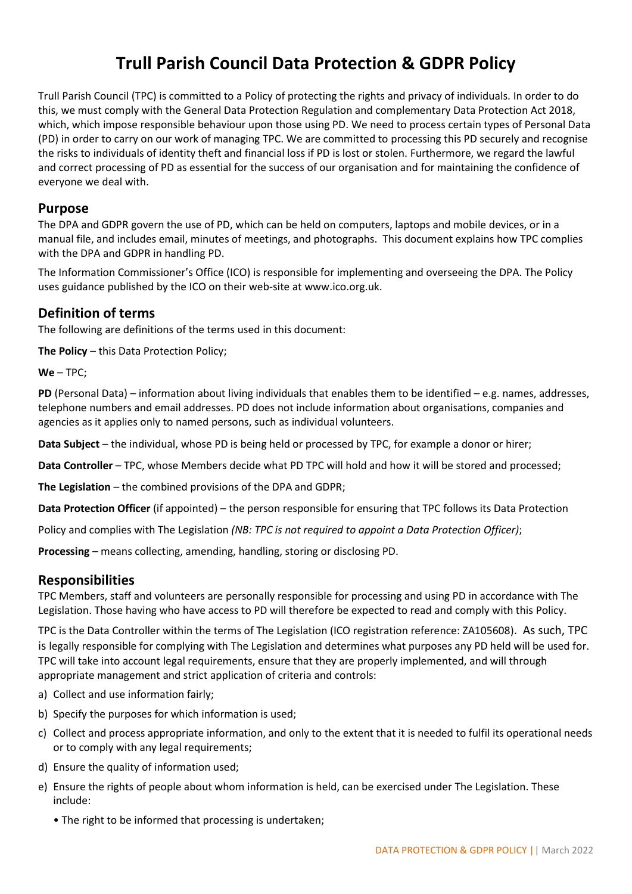# **Trull Parish Council Data Protection & GDPR Policy**

Trull Parish Council (TPC) is committed to a Policy of protecting the rights and privacy of individuals. In order to do this, we must comply with the General Data Protection Regulation and complementary Data Protection Act 2018, which, which impose responsible behaviour upon those using PD. We need to process certain types of Personal Data (PD) in order to carry on our work of managing TPC. We are committed to processing this PD securely and recognise the risks to individuals of identity theft and financial loss if PD is lost or stolen. Furthermore, we regard the lawful and correct processing of PD as essential for the success of our organisation and for maintaining the confidence of everyone we deal with.

# **Purpose**

The DPA and GDPR govern the use of PD, which can be held on computers, laptops and mobile devices, or in a manual file, and includes email, minutes of meetings, and photographs. This document explains how TPC complies with the DPA and GDPR in handling PD.

The Information Commissioner's Office (ICO) is responsible for implementing and overseeing the DPA. The Policy uses guidance published by the ICO on their web-site at www.ico.org.uk.

# **Definition of terms**

The following are definitions of the terms used in this document:

**The Policy** – this Data Protection Policy;

**We** – TPC;

**PD** (Personal Data) – information about living individuals that enables them to be identified – e.g. names, addresses, telephone numbers and email addresses. PD does not include information about organisations, companies and agencies as it applies only to named persons, such as individual volunteers.

**Data Subject** – the individual, whose PD is being held or processed by TPC, for example a donor or hirer;

**Data Controller** – TPC, whose Members decide what PD TPC will hold and how it will be stored and processed;

**The Legislation** – the combined provisions of the DPA and GDPR;

**Data Protection Officer** (if appointed) – the person responsible for ensuring that TPC follows its Data Protection

Policy and complies with The Legislation *(NB: TPC is not required to appoint a Data Protection Officer)*;

**Processing** – means collecting, amending, handling, storing or disclosing PD.

# **Responsibilities**

TPC Members, staff and volunteers are personally responsible for processing and using PD in accordance with The Legislation. Those having who have access to PD will therefore be expected to read and comply with this Policy.

TPC is the Data Controller within the terms of The Legislation (ICO registration reference: ZA105608). As such, TPC is legally responsible for complying with The Legislation and determines what purposes any PD held will be used for. TPC will take into account legal requirements, ensure that they are properly implemented, and will through appropriate management and strict application of criteria and controls:

- a) Collect and use information fairly;
- b) Specify the purposes for which information is used;
- c) Collect and process appropriate information, and only to the extent that it is needed to fulfil its operational needs or to comply with any legal requirements;
- d) Ensure the quality of information used;
- e) Ensure the rights of people about whom information is held, can be exercised under The Legislation. These include:
	- The right to be informed that processing is undertaken;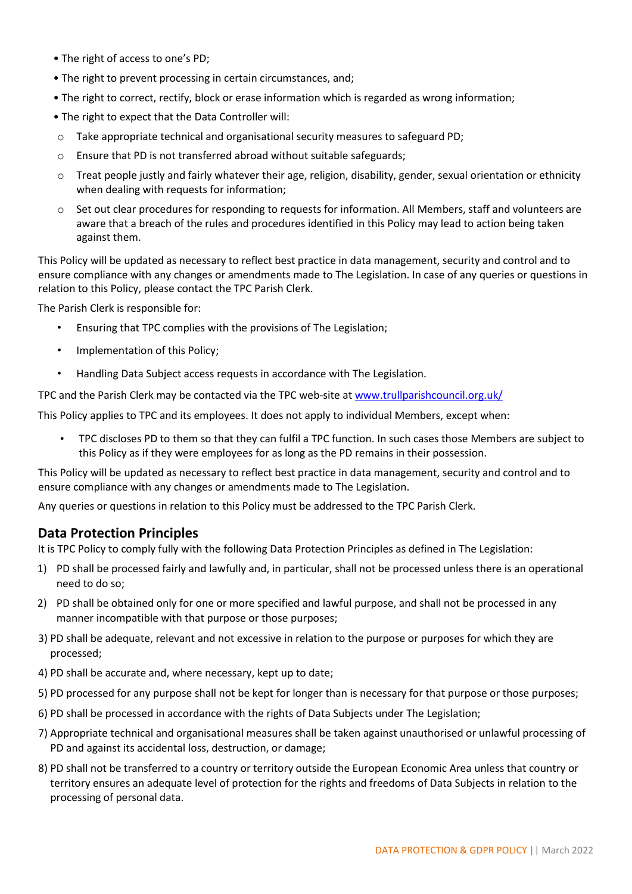- The right of access to one's PD;
- The right to prevent processing in certain circumstances, and;
- The right to correct, rectify, block or erase information which is regarded as wrong information;
- The right to expect that the Data Controller will:
- $\circ$  Take appropriate technical and organisational security measures to safeguard PD;
- o Ensure that PD is not transferred abroad without suitable safeguards;
- o Treat people justly and fairly whatever their age, religion, disability, gender, sexual orientation or ethnicity when dealing with requests for information;
- o Set out clear procedures for responding to requests for information. All Members, staff and volunteers are aware that a breach of the rules and procedures identified in this Policy may lead to action being taken against them.

This Policy will be updated as necessary to reflect best practice in data management, security and control and to ensure compliance with any changes or amendments made to The Legislation. In case of any queries or questions in relation to this Policy, please contact the TPC Parish Clerk.

The Parish Clerk is responsible for:

- Ensuring that TPC complies with the provisions of The Legislation;
- Implementation of this Policy;
- Handling Data Subject access requests in accordance with The Legislation.

TPC and the Parish Clerk may be contacted via the TPC web-site at [www.trullparishcouncil.org.uk/](http://www.trullparishcouncil.org.uk/)

This Policy applies to TPC and its employees. It does not apply to individual Members, except when:

• TPC discloses PD to them so that they can fulfil a TPC function. In such cases those Members are subject to this Policy as if they were employees for as long as the PD remains in their possession.

This Policy will be updated as necessary to reflect best practice in data management, security and control and to ensure compliance with any changes or amendments made to The Legislation.

Any queries or questions in relation to this Policy must be addressed to the TPC Parish Clerk.

# **Data Protection Principles**

It is TPC Policy to comply fully with the following Data Protection Principles as defined in The Legislation:

- 1) PD shall be processed fairly and lawfully and, in particular, shall not be processed unless there is an operational need to do so;
- 2) PD shall be obtained only for one or more specified and lawful purpose, and shall not be processed in any manner incompatible with that purpose or those purposes;
- 3) PD shall be adequate, relevant and not excessive in relation to the purpose or purposes for which they are processed;
- 4) PD shall be accurate and, where necessary, kept up to date;
- 5) PD processed for any purpose shall not be kept for longer than is necessary for that purpose or those purposes;
- 6) PD shall be processed in accordance with the rights of Data Subjects under The Legislation;
- 7) Appropriate technical and organisational measures shall be taken against unauthorised or unlawful processing of PD and against its accidental loss, destruction, or damage;
- 8) PD shall not be transferred to a country or territory outside the European Economic Area unless that country or territory ensures an adequate level of protection for the rights and freedoms of Data Subjects in relation to the processing of personal data.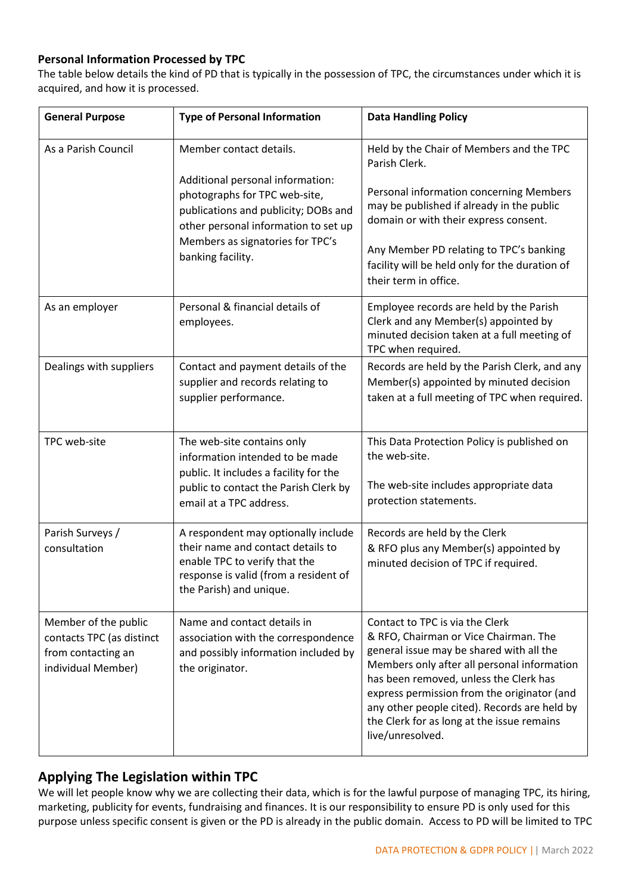## **Personal Information Processed by TPC**

The table below details the kind of PD that is typically in the possession of TPC, the circumstances under which it is acquired, and how it is processed.

| <b>General Purpose</b>                                                                        | <b>Type of Personal Information</b>                                                                                                                                                                                                   | <b>Data Handling Policy</b>                                                                                                                                                                                                                                                                                                                                                    |
|-----------------------------------------------------------------------------------------------|---------------------------------------------------------------------------------------------------------------------------------------------------------------------------------------------------------------------------------------|--------------------------------------------------------------------------------------------------------------------------------------------------------------------------------------------------------------------------------------------------------------------------------------------------------------------------------------------------------------------------------|
| As a Parish Council                                                                           | Member contact details.<br>Additional personal information:<br>photographs for TPC web-site,<br>publications and publicity; DOBs and<br>other personal information to set up<br>Members as signatories for TPC's<br>banking facility. | Held by the Chair of Members and the TPC<br>Parish Clerk.<br>Personal information concerning Members<br>may be published if already in the public<br>domain or with their express consent.<br>Any Member PD relating to TPC's banking<br>facility will be held only for the duration of<br>their term in office.                                                               |
| As an employer                                                                                | Personal & financial details of<br>employees.                                                                                                                                                                                         | Employee records are held by the Parish<br>Clerk and any Member(s) appointed by<br>minuted decision taken at a full meeting of<br>TPC when required.                                                                                                                                                                                                                           |
| Dealings with suppliers                                                                       | Contact and payment details of the<br>supplier and records relating to<br>supplier performance.                                                                                                                                       | Records are held by the Parish Clerk, and any<br>Member(s) appointed by minuted decision<br>taken at a full meeting of TPC when required.                                                                                                                                                                                                                                      |
| TPC web-site                                                                                  | The web-site contains only<br>information intended to be made<br>public. It includes a facility for the<br>public to contact the Parish Clerk by<br>email at a TPC address.                                                           | This Data Protection Policy is published on<br>the web-site.<br>The web-site includes appropriate data<br>protection statements.                                                                                                                                                                                                                                               |
| Parish Surveys /<br>consultation                                                              | A respondent may optionally include<br>their name and contact details to<br>enable TPC to verify that the<br>response is valid (from a resident of<br>the Parish) and unique.                                                         | Records are held by the Clerk<br>& RFO plus any Member(s) appointed by<br>minuted decision of TPC if required.                                                                                                                                                                                                                                                                 |
| Member of the public<br>contacts TPC (as distinct<br>from contacting an<br>individual Member) | Name and contact details in<br>association with the correspondence<br>and possibly information included by<br>the originator.                                                                                                         | Contact to TPC is via the Clerk<br>& RFO, Chairman or Vice Chairman. The<br>general issue may be shared with all the<br>Members only after all personal information<br>has been removed, unless the Clerk has<br>express permission from the originator (and<br>any other people cited). Records are held by<br>the Clerk for as long at the issue remains<br>live/unresolved. |

# **Applying The Legislation within TPC**

We will let people know why we are collecting their data, which is for the lawful purpose of managing TPC, its hiring, marketing, publicity for events, fundraising and finances. It is our responsibility to ensure PD is only used for this purpose unless specific consent is given or the PD is already in the public domain. Access to PD will be limited to TPC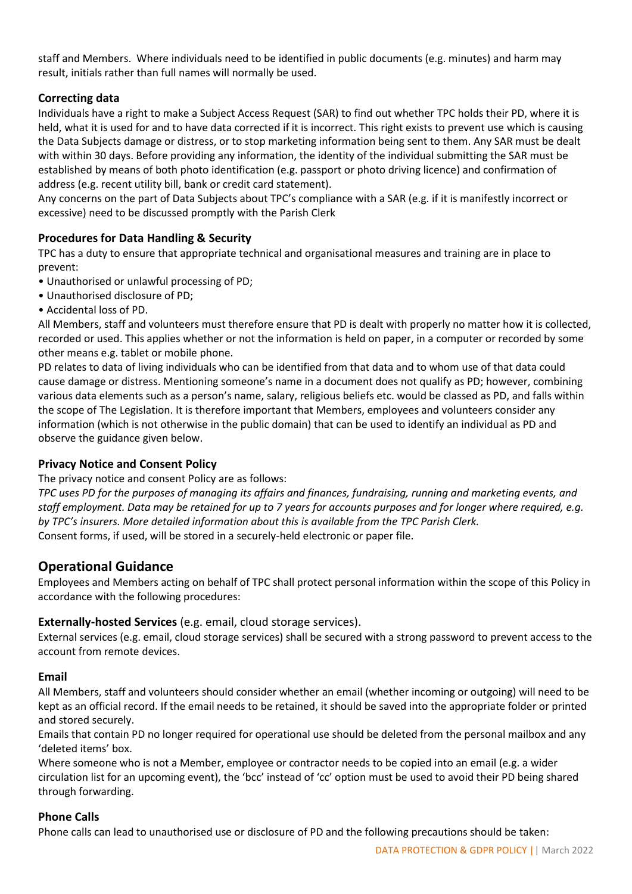staff and Members. Where individuals need to be identified in public documents (e.g. minutes) and harm may result, initials rather than full names will normally be used.

## **Correcting data**

Individuals have a right to make a Subject Access Request (SAR) to find out whether TPC holds their PD, where it is held, what it is used for and to have data corrected if it is incorrect. This right exists to prevent use which is causing the Data Subjects damage or distress, or to stop marketing information being sent to them. Any SAR must be dealt with within 30 days. Before providing any information, the identity of the individual submitting the SAR must be established by means of both photo identification (e.g. passport or photo driving licence) and confirmation of address (e.g. recent utility bill, bank or credit card statement).

Any concerns on the part of Data Subjects about TPC's compliance with a SAR (e.g. if it is manifestly incorrect or excessive) need to be discussed promptly with the Parish Clerk

## **Procedures for Data Handling & Security**

TPC has a duty to ensure that appropriate technical and organisational measures and training are in place to prevent:

- Unauthorised or unlawful processing of PD;
- Unauthorised disclosure of PD;
- Accidental loss of PD.

All Members, staff and volunteers must therefore ensure that PD is dealt with properly no matter how it is collected, recorded or used. This applies whether or not the information is held on paper, in a computer or recorded by some other means e.g. tablet or mobile phone.

PD relates to data of living individuals who can be identified from that data and to whom use of that data could cause damage or distress. Mentioning someone's name in a document does not qualify as PD; however, combining various data elements such as a person's name, salary, religious beliefs etc. would be classed as PD, and falls within the scope of The Legislation. It is therefore important that Members, employees and volunteers consider any information (which is not otherwise in the public domain) that can be used to identify an individual as PD and observe the guidance given below.

## **Privacy Notice and Consent Policy**

The privacy notice and consent Policy are as follows:

*TPC uses PD for the purposes of managing its affairs and finances, fundraising, running and marketing events, and staff employment. Data may be retained for up to 7 years for accounts purposes and for longer where required, e.g. by TPC's insurers. More detailed information about this is available from the TPC Parish Clerk.*  Consent forms, if used, will be stored in a securely-held electronic or paper file.

# **Operational Guidance**

Employees and Members acting on behalf of TPC shall protect personal information within the scope of this Policy in accordance with the following procedures:

## **Externally-hosted Services** (e.g. email, cloud storage services).

External services (e.g. email, cloud storage services) shall be secured with a strong password to prevent access to the account from remote devices.

#### **Email**

All Members, staff and volunteers should consider whether an email (whether incoming or outgoing) will need to be kept as an official record. If the email needs to be retained, it should be saved into the appropriate folder or printed and stored securely.

Emails that contain PD no longer required for operational use should be deleted from the personal mailbox and any 'deleted items' box.

Where someone who is not a Member, employee or contractor needs to be copied into an email (e.g. a wider circulation list for an upcoming event), the 'bcc' instead of 'cc' option must be used to avoid their PD being shared through forwarding.

#### **Phone Calls**

Phone calls can lead to unauthorised use or disclosure of PD and the following precautions should be taken: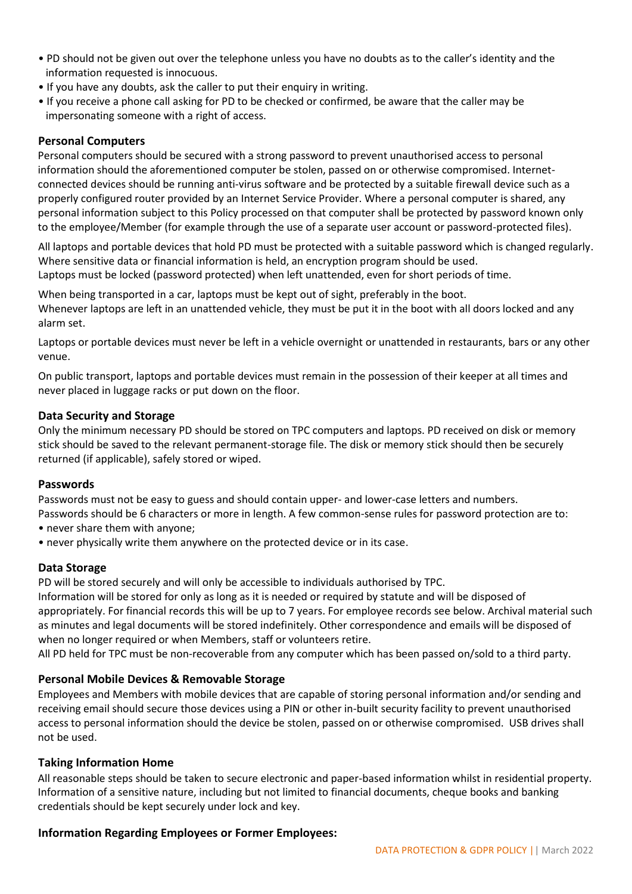- PD should not be given out over the telephone unless you have no doubts as to the caller's identity and the information requested is innocuous.
- If you have any doubts, ask the caller to put their enquiry in writing.
- If you receive a phone call asking for PD to be checked or confirmed, be aware that the caller may be impersonating someone with a right of access.

## **Personal Computers**

Personal computers should be secured with a strong password to prevent unauthorised access to personal information should the aforementioned computer be stolen, passed on or otherwise compromised. Internetconnected devices should be running anti-virus software and be protected by a suitable firewall device such as a properly configured router provided by an Internet Service Provider. Where a personal computer is shared, any personal information subject to this Policy processed on that computer shall be protected by password known only to the employee/Member (for example through the use of a separate user account or password-protected files).

All laptops and portable devices that hold PD must be protected with a suitable password which is changed regularly. Where sensitive data or financial information is held, an encryption program should be used. Laptops must be locked (password protected) when left unattended, even for short periods of time.

When being transported in a car, laptops must be kept out of sight, preferably in the boot. Whenever laptops are left in an unattended vehicle, they must be put it in the boot with all doors locked and any alarm set.

Laptops or portable devices must never be left in a vehicle overnight or unattended in restaurants, bars or any other venue.

On public transport, laptops and portable devices must remain in the possession of their keeper at all times and never placed in luggage racks or put down on the floor.

## **Data Security and Storage**

Only the minimum necessary PD should be stored on TPC computers and laptops. PD received on disk or memory stick should be saved to the relevant permanent-storage file. The disk or memory stick should then be securely returned (if applicable), safely stored or wiped.

## **Passwords**

Passwords must not be easy to guess and should contain upper- and lower-case letters and numbers.

- Passwords should be 6 characters or more in length. A few common-sense rules for password protection are to: • never share them with anyone;
- never physically write them anywhere on the protected device or in its case.

## **Data Storage**

PD will be stored securely and will only be accessible to individuals authorised by TPC.

Information will be stored for only as long as it is needed or required by statute and will be disposed of appropriately. For financial records this will be up to 7 years. For employee records see below. Archival material such as minutes and legal documents will be stored indefinitely. Other correspondence and emails will be disposed of when no longer required or when Members, staff or volunteers retire.

All PD held for TPC must be non-recoverable from any computer which has been passed on/sold to a third party.

## **Personal Mobile Devices & Removable Storage**

Employees and Members with mobile devices that are capable of storing personal information and/or sending and receiving email should secure those devices using a PIN or other in-built security facility to prevent unauthorised access to personal information should the device be stolen, passed on or otherwise compromised. USB drives shall not be used.

## **Taking Information Home**

All reasonable steps should be taken to secure electronic and paper-based information whilst in residential property. Information of a sensitive nature, including but not limited to financial documents, cheque books and banking credentials should be kept securely under lock and key.

## **Information Regarding Employees or Former Employees:**